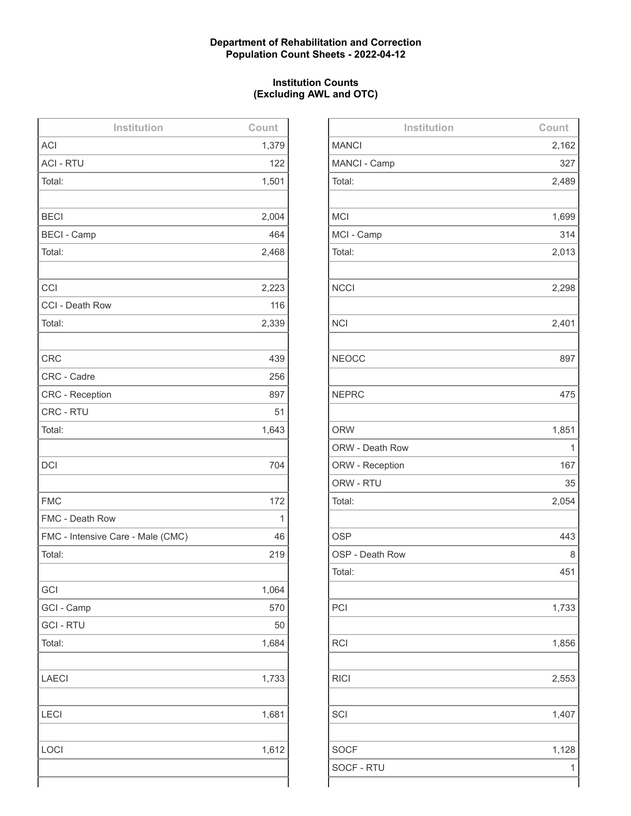### **Department of Rehabilitation and Correction Population Count Sheets - 2022-04-12**

### **Institution Counts (Excluding AWL and OTC)**

| Institution                       | Count |
|-----------------------------------|-------|
| <b>ACI</b>                        | 1,379 |
| <b>ACI - RTU</b>                  | 122   |
| Total:                            | 1,501 |
|                                   |       |
| <b>BECI</b>                       | 2,004 |
| <b>BECI - Camp</b>                | 464   |
| Total:                            | 2,468 |
|                                   |       |
| CCI                               | 2,223 |
| CCI - Death Row                   | 116   |
| Total:                            | 2,339 |
|                                   |       |
| <b>CRC</b>                        | 439   |
| CRC - Cadre                       | 256   |
| <b>CRC - Reception</b>            | 897   |
| CRC - RTU                         | 51    |
| Total:                            | 1,643 |
|                                   |       |
| <b>DCI</b>                        | 704   |
|                                   |       |
| <b>FMC</b>                        | 172   |
| FMC - Death Row                   | 1     |
| FMC - Intensive Care - Male (CMC) | 46    |
| Total:                            | 219   |
|                                   |       |
| GCI                               | 1,064 |
| GCI - Camp                        | 570   |
| <b>GCI - RTU</b>                  | 50    |
| Total:                            | 1,684 |
|                                   |       |
| <b>LAECI</b>                      | 1,733 |
|                                   |       |
| <b>LECI</b>                       | 1,681 |
|                                   |       |
| LOCI                              | 1,612 |
|                                   |       |
|                                   |       |

| Institution     | Count |
|-----------------|-------|
| <b>MANCI</b>    | 2,162 |
| MANCI - Camp    | 327   |
| Total:          | 2,489 |
|                 |       |
| <b>MCI</b>      | 1,699 |
| MCI - Camp      | 314   |
| Total:          | 2,013 |
|                 |       |
| <b>NCCI</b>     | 2,298 |
|                 |       |
| <b>NCI</b>      | 2,401 |
|                 |       |
| <b>NEOCC</b>    | 897   |
|                 |       |
| <b>NEPRC</b>    | 475   |
|                 |       |
| <b>ORW</b>      | 1,851 |
| ORW - Death Row | 1     |
| ORW - Reception | 167   |
| ORW - RTU       | 35    |
| Total:          | 2,054 |
|                 |       |
| <b>OSP</b>      | 443   |
| OSP - Death Row | 8     |
| Total:          | 451   |
|                 |       |
| PCI             | 1,733 |
|                 |       |
| <b>RCI</b>      | 1,856 |
|                 |       |
| <b>RICI</b>     | 2,553 |
|                 |       |
| SCI             | 1,407 |
|                 |       |
| <b>SOCF</b>     | 1,128 |
| SOCF - RTU      | 1     |
|                 |       |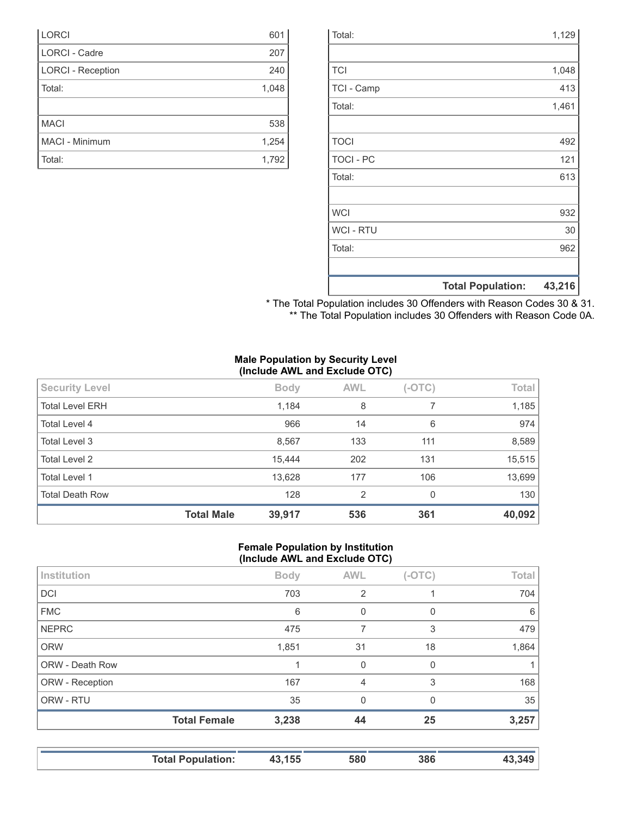|                  | <b>Total Population:</b> | 43,216 |
|------------------|--------------------------|--------|
|                  |                          |        |
| Total:           |                          | 962    |
| <b>WCI - RTU</b> |                          | 30     |
| <b>WCI</b>       |                          | 932    |
|                  |                          |        |
| Total:           |                          | 613    |
| <b>TOCI - PC</b> |                          | 121    |
| <b>TOCI</b>      |                          | 492    |
|                  |                          |        |
| Total:           |                          | 1,461  |
| TCI - Camp       |                          | 413    |
| <b>TCI</b>       |                          | 1,048  |
|                  |                          |        |
| Total:           |                          | 1,129  |

| * The Total Population includes 30 Offenders with Reason Codes 30 & 31. |  |
|-------------------------------------------------------------------------|--|
| ** The Total Population includes 30 Offenders with Reason Code 0A.      |  |

### **Male Population by Security Level (Include AWL and Exclude OTC)**

| <b>Security Level</b>  |                   | <b>Body</b> | <b>AWL</b> | $(-OTC)$ | Total  |
|------------------------|-------------------|-------------|------------|----------|--------|
| <b>Total Level ERH</b> |                   | 1,184       | 8          |          | 1,185  |
| Total Level 4          |                   | 966         | 14         | 6        | 974    |
| Total Level 3          |                   | 8,567       | 133        | 111      | 8,589  |
| <b>Total Level 2</b>   |                   | 15,444      | 202        | 131      | 15,515 |
| Total Level 1          |                   | 13,628      | 177        | 106      | 13,699 |
| <b>Total Death Row</b> |                   | 128         | 2          | 0        | 130    |
|                        | <b>Total Male</b> | 39,917      | 536        | 361      | 40,092 |

### **Female Population by Institution (Include AWL and Exclude OTC)**

|                        | $\cdot$             |             |             |          |       |
|------------------------|---------------------|-------------|-------------|----------|-------|
| Institution            |                     | <b>Body</b> | <b>AWL</b>  | $(-OTC)$ | Total |
| <b>DCI</b>             |                     | 703         | 2           |          | 704   |
| <b>FMC</b>             |                     | 6           | 0           | 0        | 6     |
| <b>NEPRC</b>           |                     | 475         | 7           | 3        | 479   |
| <b>ORW</b>             |                     | 1,851       | 31          | 18       | 1,864 |
| <b>ORW - Death Row</b> |                     |             | $\mathbf 0$ | 0        |       |
| ORW - Reception        |                     | 167         | 4           | 3        | 168   |
| ORW - RTU              |                     | 35          | $\Omega$    | $\Omega$ | 35    |
|                        | <b>Total Female</b> | 3,238       | 44          | 25       | 3,257 |
|                        |                     |             |             |          |       |

|  | <b>Total Population:</b> | 43,155 | 580 | 386 | 349 |
|--|--------------------------|--------|-----|-----|-----|
|--|--------------------------|--------|-----|-----|-----|

| <b>LORCI</b>             | 601   |
|--------------------------|-------|
| LORCI - Cadre            | 207   |
| <b>LORCI - Reception</b> | 240   |
| Total:                   | 1,048 |
|                          |       |
| <b>MACI</b>              | 538   |
| MACI - Minimum           | 1,254 |
| Total:                   | 1,792 |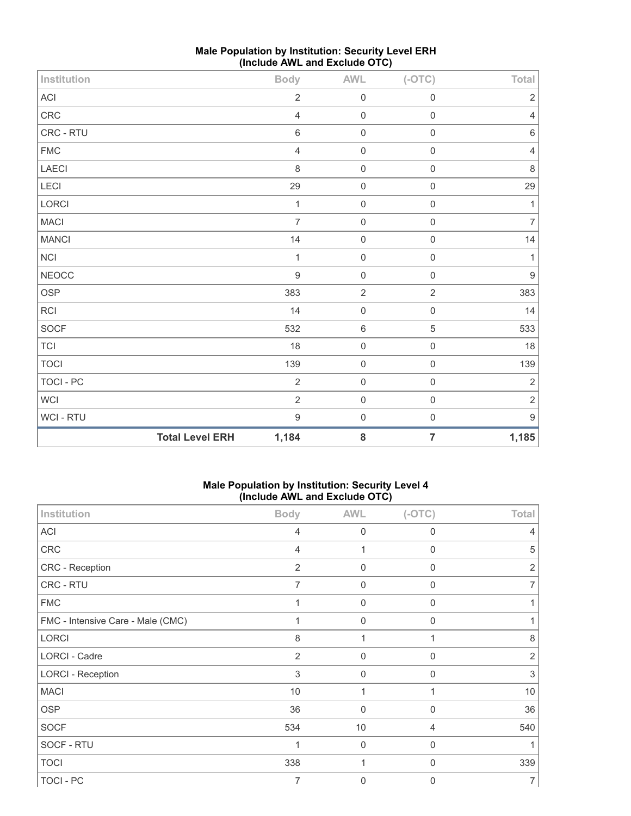| Institution                |                        | <b>Body</b>      | AWL         | $(-OTC)$       | Total            |
|----------------------------|------------------------|------------------|-------------|----------------|------------------|
| $\boldsymbol{\mathsf{AC}}$ |                        | $\sqrt{2}$       | $\mathbf 0$ | $\mathbf 0$    | $\sqrt{2}$       |
| CRC                        |                        | $\overline{4}$   | $\mathbf 0$ | $\mathbf 0$    | 4                |
| CRC - RTU                  |                        | $\,6\,$          | $\mathbf 0$ | $\mathbf 0$    | $6\,$            |
| ${\sf FMC}$                |                        | $\overline{4}$   | $\mathbf 0$ | $\mathbf 0$    | 4                |
| LAECI                      |                        | 8                | $\mathbf 0$ | $\mathbf 0$    | $\,8\,$          |
| LECI                       |                        | 29               | $\mathbf 0$ | $\mathbf 0$    | 29               |
| <b>LORCI</b>               |                        | 1                | $\mathbf 0$ | $\mathbf 0$    | $\mathbf 1$      |
| MACI                       |                        | $\overline{7}$   | $\mathbf 0$ | $\mathbf 0$    | $\overline{7}$   |
| <b>MANCI</b>               |                        | 14               | $\mathbf 0$ | $\mathbf 0$    | 14               |
| $\sf NCI$                  |                        | $\mathbf{1}$     | $\mathbf 0$ | $\mathbf 0$    | $\mathbf{1}$     |
| <b>NEOCC</b>               |                        | $\boldsymbol{9}$ | $\mathbf 0$ | $\mathbf 0$    | $\boldsymbol{9}$ |
| OSP                        |                        | 383              | $\sqrt{2}$  | $\sqrt{2}$     | 383              |
| RCI                        |                        | 14               | $\mathbf 0$ | $\mathbf 0$    | 14               |
| SOCF                       |                        | 532              | $\,6\,$     | 5              | 533              |
| TCI                        |                        | 18               | $\mathbf 0$ | $\mathbf 0$    | 18               |
| <b>TOCI</b>                |                        | 139              | $\mathbf 0$ | $\mathbf 0$    | 139              |
| TOCI - PC                  |                        | $\sqrt{2}$       | $\mathbf 0$ | $\mathbf 0$    | $\sqrt{2}$       |
| WCI                        |                        | $\sqrt{2}$       | $\mathbf 0$ | $\mathbf 0$    | $\mathbf 2$      |
| WCI - RTU                  |                        | $\boldsymbol{9}$ | $\mathbf 0$ | $\mathbf 0$    | $\boldsymbol{9}$ |
|                            | <b>Total Level ERH</b> | 1,184            | 8           | $\overline{7}$ | 1,185            |

## **Male Population by Institution: Security Level ERH (Include AWL and Exclude OTC)**

### **Male Population by Institution: Security Level 4 (Include AWL and Exclude OTC)**

|                                   | $\cdot$        |                  | ,              |                |
|-----------------------------------|----------------|------------------|----------------|----------------|
| Institution                       | <b>Body</b>    | <b>AWL</b>       | $(-OTC)$       | <b>Total</b>   |
| <b>ACI</b>                        | $\overline{4}$ | $\mathbf 0$      | $\mathbf 0$    | 4              |
| CRC                               | $\overline{4}$ | 1                | $\mathbf 0$    | 5              |
| CRC - Reception                   | $\overline{2}$ | $\mathbf 0$      | $\mathbf 0$    | 2              |
| CRC - RTU                         | 7              | $\mathbf 0$      | $\mathbf 0$    | 7              |
| <b>FMC</b>                        | 1              | $\mathbf 0$      | $\mathbf 0$    | 1              |
| FMC - Intensive Care - Male (CMC) |                | $\mathbf 0$      | $\Omega$       |                |
| <b>LORCI</b>                      | 8              | 1                |                | 8              |
| LORCI - Cadre                     | 2              | $\boldsymbol{0}$ | $\mathbf 0$    | $\overline{2}$ |
| <b>LORCI - Reception</b>          | 3              | $\Omega$         | $\Omega$       | 3              |
| <b>MACI</b>                       | 10             | 1                |                | 10             |
| <b>OSP</b>                        | 36             | $\mathbf 0$      | $\mathbf 0$    | 36             |
| <b>SOCF</b>                       | 534            | $10$             | $\overline{4}$ | 540            |
| SOCF - RTU                        |                | $\boldsymbol{0}$ | 0              |                |
| <b>TOCI</b>                       | 338            | 1                | $\Omega$       | 339            |
| TOCI - PC                         | $\overline{7}$ | $\mathbf 0$      | $\Omega$       | $\overline{7}$ |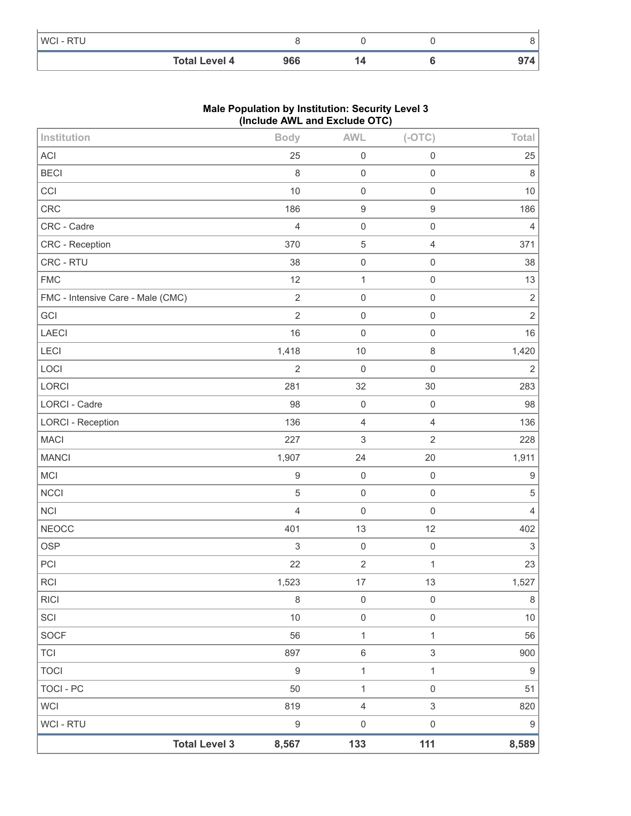|           | <b>Total Level 4</b> | 966 |  |  |
|-----------|----------------------|-----|--|--|
| WCI - RTU |                      |     |  |  |

### **Male Population by Institution: Security Level 3 (Include AWL and Exclude OTC)**

| <b>Total Level 3</b>              | 8,567            | 133                 | 111                 | 8,589            |
|-----------------------------------|------------------|---------------------|---------------------|------------------|
| WCI - RTU                         | $\boldsymbol{9}$ | $\mathbf 0$         | $\mathsf{O}\xspace$ | 9                |
| <b>WCI</b>                        | 819              | $\overline{4}$      | $\mathfrak{S}$      | 820              |
| TOCI - PC                         | 50               | 1                   | $\mathsf{O}\xspace$ | 51               |
| <b>TOCI</b>                       | $\boldsymbol{9}$ | $\mathbf 1$         | $\mathbf{1}$        | 9                |
| TCI                               | 897              | $\,6\,$             | $\mathfrak{S}$      | 900              |
| <b>SOCF</b>                       | 56               | $\mathbf 1$         | $\mathbf{1}$        | 56               |
| SCI                               | 10               | $\mathbf 0$         | $\mathsf{O}\xspace$ | $10$             |
| <b>RICI</b>                       | $\,8\,$          | $\mathbf 0$         | $\mathbf 0$         | $\,8\,$          |
| <b>RCI</b>                        | 1,523            | $17$                | 13                  | 1,527            |
| PCI                               | 22               | $\sqrt{2}$          | $\mathbf{1}$        | 23               |
| <b>OSP</b>                        | $\sqrt{3}$       | $\mathbf 0$         | $\mathbf 0$         | $\sqrt{3}$       |
| <b>NEOCC</b>                      | 401              | 13                  | 12                  | 402              |
| <b>NCI</b>                        | $\overline{4}$   | $\mathbf 0$         | $\mathsf{O}\xspace$ | $\overline{4}$   |
| <b>NCCI</b>                       | $\sqrt{5}$       | $\mathbf 0$         | $\mathsf{O}\xspace$ | $\sqrt{5}$       |
| MCI                               | $\boldsymbol{9}$ | $\mathbf 0$         | $\mathbf 0$         | $\boldsymbol{9}$ |
| <b>MANCI</b>                      | 1,907            | 24                  | 20                  | 1,911            |
| <b>MACI</b>                       | 227              | $\mathfrak{S}$      | $\overline{2}$      | 228              |
| <b>LORCI - Reception</b>          | 136              | $\overline{4}$      | $\overline{4}$      | 136              |
| LORCI - Cadre                     | 98               | $\mathbf 0$         | $\mathbf 0$         | 98               |
| LORCI                             | 281              | 32                  | 30                  | 283              |
| LOCI                              | $\overline{2}$   | $\mathbf 0$         | $\mathsf 0$         | $\overline{2}$   |
| LECI                              | 1,418            | 10                  | $\,8\,$             | 1,420            |
| LAECI                             | 16               | $\mathbf 0$         | $\mathsf{O}\xspace$ | 16               |
| GCI                               | $\overline{2}$   | $\mathbf 0$         | $\mathsf{O}\xspace$ | $\overline{2}$   |
| FMC - Intensive Care - Male (CMC) | $\sqrt{2}$       | $\mathbf 0$         | $\mathsf 0$         | $\sqrt{2}$       |
| <b>FMC</b>                        | 12               | $\mathbf{1}$        | $\mathsf 0$         | 13               |
| CRC - RTU                         | 38               | $\mathsf{O}\xspace$ | $\mathsf 0$         | 38               |
| CRC - Reception                   | 370              | $\sqrt{5}$          | $\overline{4}$      | 371              |
| CRC - Cadre                       | $\overline{4}$   | $\mathbf 0$         | $\mathsf{O}\xspace$ | $\overline{4}$   |
| CRC                               | 186              | $\boldsymbol{9}$    | $\boldsymbol{9}$    | 186              |
| CCI                               | 10               | $\mathbf 0$         | $\mathsf{O}\xspace$ | $10$             |
| <b>BECI</b>                       | $\,8\,$          | $\mathbf 0$         | $\mathsf 0$         | 8                |
| ACI                               | 25               | $\boldsymbol{0}$    | $\mathsf{O}\xspace$ | 25               |
| Institution                       | <b>Body</b>      | <b>AWL</b>          | $(-OTC)$            | Total            |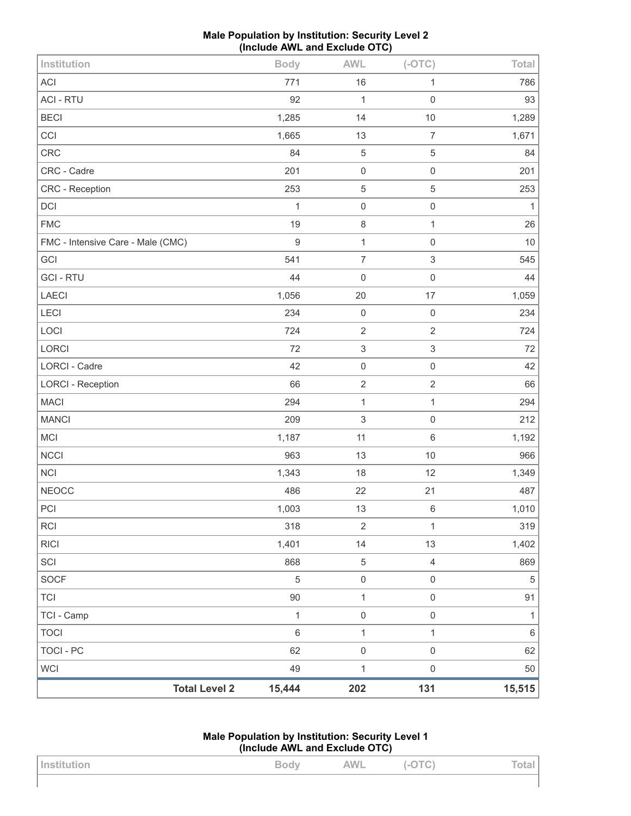| Male Population by Institution: Security Level 2 |
|--------------------------------------------------|
| (Include AWL and Exclude OTC)                    |

| <b>Total Level 2</b>              | 15,444         | 202                       | 131                       | 15,515             |
|-----------------------------------|----------------|---------------------------|---------------------------|--------------------|
| <b>WCI</b>                        | 49             | $\mathbf 1$               | $\mathsf{O}\xspace$       | 50                 |
| <b>TOCI - PC</b>                  | 62             | $\mathsf 0$               | $\mathsf{O}\xspace$       | 62                 |
| <b>TOCI</b>                       | $\,6\,$        | $\mathbf{1}$              | $\mathbf{1}$              | $\,6\,$            |
| TCI - Camp                        | 1              | $\mathsf 0$               | $\mathsf{O}\xspace$       | $\mathbf{1}$       |
| <b>TCI</b>                        | 90             | $\mathbf{1}$              | $\mathsf{O}\xspace$       | 91                 |
| <b>SOCF</b>                       | $\overline{5}$ | $\mathsf{O}\xspace$       | $\mathsf{O}\xspace$       | $\sqrt{5}$         |
| SCI                               | 868            | $\sqrt{5}$                | $\sqrt{4}$                | 869                |
| <b>RICI</b>                       | 1,401          | 14                        | 13                        | 1,402              |
| <b>RCI</b>                        | 318            | $\sqrt{2}$                | $\mathbf{1}$              | 319                |
| PCI                               | 1,003          | 13                        | $\,6\,$                   | 1,010              |
| <b>NEOCC</b>                      | 486            | 22                        | 21                        | 487                |
| <b>NCI</b>                        | 1,343          | 18                        | 12                        | 1,349              |
| <b>NCCI</b>                       | 963            | 13                        | 10                        | 966                |
| MCI                               | 1,187          | 11                        | $\,6\,$                   | 1,192              |
| <b>MANCI</b>                      | 209            | $\sqrt{3}$                | $\mathbf 0$               | 212                |
| <b>MACI</b>                       | 294            | $\mathbf{1}$              | $\mathbf{1}$              | 294                |
| <b>LORCI - Reception</b>          | 66             | $\sqrt{2}$                | $\sqrt{2}$                | 66                 |
| <b>LORCI - Cadre</b>              | 42             | $\mathsf 0$               | $\mathbf 0$               | 42                 |
| LORCI                             | 72             | $\ensuremath{\mathsf{3}}$ | $\ensuremath{\mathsf{3}}$ | 72                 |
| LOCI                              | 724            | $\sqrt{2}$                | $\sqrt{2}$                | 724                |
| LECI                              | 234            | $\mathbf 0$               | $\mathbf 0$               | 234                |
| LAECI                             | 1,056          | 20                        | 17                        | 1,059              |
| <b>GCI-RTU</b>                    | 44             | $\mathbf 0$               | $\mathbf 0$               | 44                 |
| GCI                               | 541            | $\overline{7}$            | $\,$ 3 $\,$               | 545                |
| FMC - Intensive Care - Male (CMC) | $\overline{9}$ | $\mathbf{1}$              | $\mathbf 0$               | $10$               |
| <b>FMC</b>                        | 1<br>19        | $\mathbf 0$<br>8          | $\mathbf{1}$              | $\mathbf{1}$<br>26 |
| CRC - Reception<br>DCI            | 253            | $\,$ 5 $\,$               | 5<br>$\mathbf 0$          | 253                |
| CRC - Cadre                       | 201            | $\mathbf 0$               | $\mathbf 0$               | 201                |
| CRC                               | 84             | $\,$ 5 $\,$               | 5                         | 84                 |
| CCI                               | 1,665          | 13                        | $\overline{7}$            | 1,671              |
| <b>BECI</b>                       | 1,285          | 14                        | 10                        | 1,289              |
| <b>ACI - RTU</b>                  | 92             | $\mathbf{1}$              | $\mathbf 0$               | 93                 |
| <b>ACI</b>                        | 771            | 16                        | 1                         | 786                |
| Institution                       | <b>Body</b>    | <b>AWL</b>                | $(-OTC)$                  | Total              |
|                                   |                |                           |                           |                    |

| Male Population by Institution: Security Level 1 |
|--------------------------------------------------|
| (Include AWL and Exclude OTC)                    |

| Institution | Body | AWL | TC <sub>1</sub><br>$\left\{ -\bigcup_{i=1}^{n}$ | Total |
|-------------|------|-----|-------------------------------------------------|-------|
|             |      |     |                                                 |       |